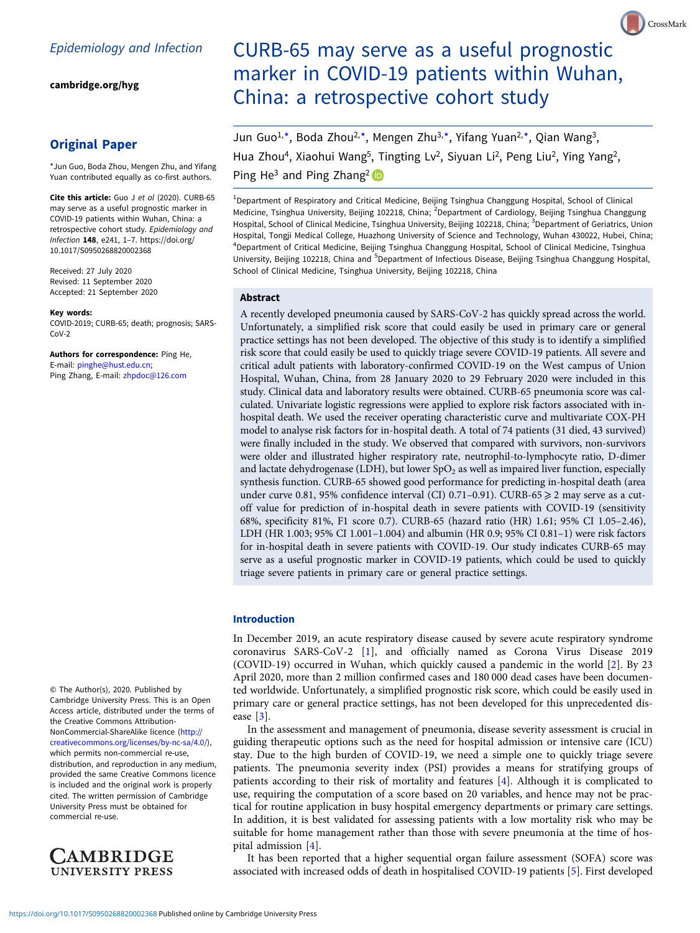[cambridge.org/hyg](https://www.cambridge.org/hyg)

# Original Paper

\*Jun Guo, Boda Zhou, Mengen Zhu, and Yifang Yuan contributed equally as co-first authors.

Cite this article: Guo J et al (2020). CURB-65 may serve as a useful prognostic marker in COVID-19 patients within Wuhan, China: a retrospective cohort study. Epidemiology and Infection 148, e241, 1–7. [https://doi.org/](https://doi.org/10.1017/S0950268820002368) [10.1017/S0950268820002368](https://doi.org/10.1017/S0950268820002368)

Received: 27 July 2020 Revised: 11 September 2020 Accepted: 21 September 2020

#### Key words:

COVID-2019; CURB-65; death; prognosis; SARS-CoV-2

Authors for correspondence: Ping He, E-mail: [pinghe@hust.edu.cn](mailto:pinghe@hust.edu.cn); Ping Zhang, E-mail: [zhpdoc@126.com](mailto:zhpdoc@126.com)

© The Author(s), 2020. Published by Cambridge University Press. This is an Open Access article, distributed under the terms of the Creative Commons Attribution-NonCommercial-ShareAlike licence [\(http://](http://creativecommons.org/licenses/by-nc-sa/4.0/) [creativecommons.org/licenses/by-nc-sa/4.0/](http://creativecommons.org/licenses/by-nc-sa/4.0/)), which permits non-commercial re-use, distribution, and reproduction in any medium, provided the same Creative Commons licence is included and the original work is properly cited. The written permission of Cambridge University Press must be obtained for commercial re-use.



# CURB-65 may serve as a useful prognostic marker in COVID-19 patients within Wuhan, China: a retrospective cohort study

Jun Guo<sup>1,\*</sup>, Boda Zhou<sup>2,\*</sup>, Mengen Zhu<sup>3,\*</sup>, Yifang Yuan<sup>2,\*</sup>, Qian Wang<sup>3</sup>, Hua Zhou<sup>4</sup>, Xiaohui Wang<sup>5</sup>, Tingting Lv<sup>2</sup>, Siyuan Li<sup>2</sup>, Peng Liu<sup>2</sup>, Ying Yang<sup>2</sup>, Ping He<sup>3</sup> and Ping Zhang<sup>2</sup>

<sup>1</sup>Department of Respiratory and Critical Medicine, Beijing Tsinghua Changgung Hospital, School of Clinical Medicine, Tsinghua University, Beijing 102218, China; <sup>2</sup>Department of Cardiology, Beijing Tsinghua Changgung Hospital, School of Clinical Medicine, Tsinghua University, Beijing 102218, China; <sup>3</sup>Department of Geriatrics, Union Hospital, Tongji Medical College, Huazhong University of Science and Technology, Wuhan 430022, Hubei, China; 4 Department of Critical Medicine, Beijing Tsinghua Changgung Hospital, School of Clinical Medicine, Tsinghua University, Beijing 102218, China and <sup>5</sup>Department of Infectious Disease, Beijing Tsinghua Changgung Hospital, School of Clinical Medicine, Tsinghua University, Beijing 102218, China

#### Abstract

A recently developed pneumonia caused by SARS-CoV-2 has quickly spread across the world. Unfortunately, a simplified risk score that could easily be used in primary care or general practice settings has not been developed. The objective of this study is to identify a simplified risk score that could easily be used to quickly triage severe COVID-19 patients. All severe and critical adult patients with laboratory-confirmed COVID-19 on the West campus of Union Hospital, Wuhan, China, from 28 January 2020 to 29 February 2020 were included in this study. Clinical data and laboratory results were obtained. CURB-65 pneumonia score was calculated. Univariate logistic regressions were applied to explore risk factors associated with inhospital death. We used the receiver operating characteristic curve and multivariate COX-PH model to analyse risk factors for in-hospital death. A total of 74 patients (31 died, 43 survived) were finally included in the study. We observed that compared with survivors, non-survivors were older and illustrated higher respiratory rate, neutrophil-to-lymphocyte ratio, D-dimer and lactate dehydrogenase (LDH), but lower  $SpO<sub>2</sub>$  as well as impaired liver function, especially synthesis function. CURB-65 showed good performance for predicting in-hospital death (area under curve 0.81, 95% confidence interval (CI) 0.71-0.91). CURB-65  $\geq$  2 may serve as a cutoff value for prediction of in-hospital death in severe patients with COVID-19 (sensitivity 68%, specificity 81%, F1 score 0.7). CURB-65 (hazard ratio (HR) 1.61; 95% CI 1.05–2.46), LDH (HR 1.003; 95% CI 1.001–1.004) and albumin (HR 0.9; 95% CI 0.81–1) were risk factors for in-hospital death in severe patients with COVID-19. Our study indicates CURB-65 may serve as a useful prognostic marker in COVID-19 patients, which could be used to quickly triage severe patients in primary care or general practice settings.

#### Introduction

In December 2019, an acute respiratory disease caused by severe acute respiratory syndrome coronavirus SARS-CoV-2 [[1\]](#page-6-0), and officially named as Corona Virus Disease 2019 (COVID-19) occurred in Wuhan, which quickly caused a pandemic in the world [\[2\]](#page-6-0). By 23 April 2020, more than 2 million confirmed cases and 180 000 dead cases have been documented worldwide. Unfortunately, a simplified prognostic risk score, which could be easily used in primary care or general practice settings, has not been developed for this unprecedented disease [\[3\]](#page-6-0).

In the assessment and management of pneumonia, disease severity assessment is crucial in guiding therapeutic options such as the need for hospital admission or intensive care (ICU) stay. Due to the high burden of COVID-19, we need a simple one to quickly triage severe patients. The pneumonia severity index (PSI) provides a means for stratifying groups of patients according to their risk of mortality and features [[4](#page-6-0)]. Although it is complicated to use, requiring the computation of a score based on 20 variables, and hence may not be practical for routine application in busy hospital emergency departments or primary care settings. In addition, it is best validated for assessing patients with a low mortality risk who may be suitable for home management rather than those with severe pneumonia at the time of hospital admission [[4](#page-6-0)].

It has been reported that a higher sequential organ failure assessment (SOFA) score was associated with increased odds of death in hospitalised COVID-19 patients [[5\]](#page-6-0). First developed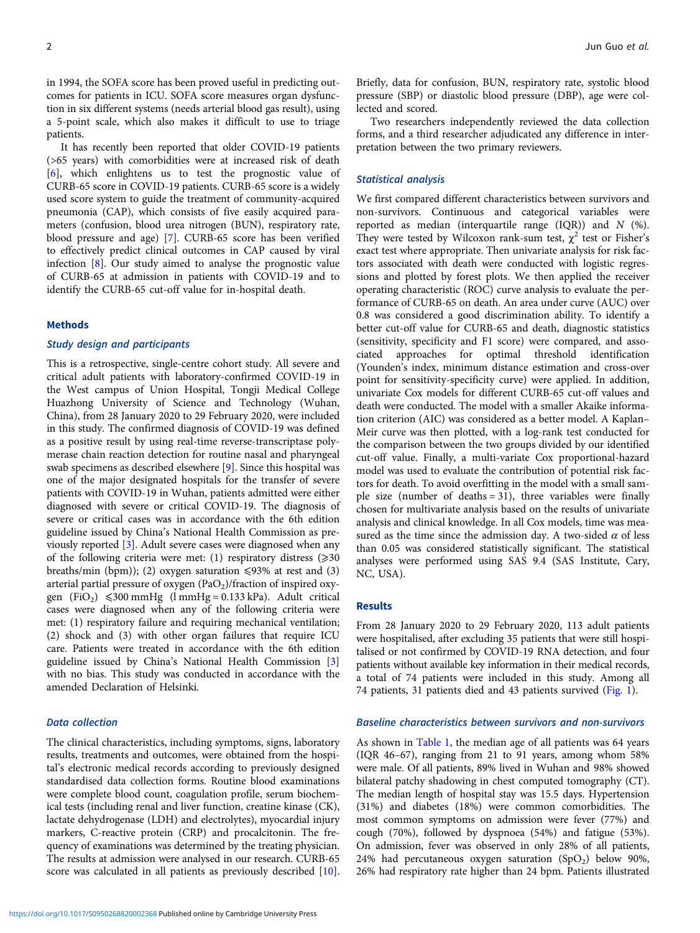in 1994, the SOFA score has been proved useful in predicting outcomes for patients in ICU. SOFA score measures organ dysfunction in six different systems (needs arterial blood gas result), using a 5-point scale, which also makes it difficult to use to triage patients.

It has recently been reported that older COVID-19 patients (>65 years) with comorbidities were at increased risk of death [[6\]](#page-6-0), which enlightens us to test the prognostic value of CURB-65 score in COVID-19 patients. CURB-65 score is a widely used score system to guide the treatment of community-acquired pneumonia (CAP), which consists of five easily acquired parameters (confusion, blood urea nitrogen (BUN), respiratory rate, blood pressure and age) [[7](#page-6-0)]. CURB-65 score has been verified to effectively predict clinical outcomes in CAP caused by viral infection [[8](#page-6-0)]. Our study aimed to analyse the prognostic value of CURB-65 at admission in patients with COVID-19 and to identify the CURB-65 cut-off value for in-hospital death.

#### **Methods**

#### Study design and participants

This is a retrospective, single-centre cohort study. All severe and critical adult patients with laboratory-confirmed COVID-19 in the West campus of Union Hospital, Tongji Medical College Huazhong University of Science and Technology (Wuhan, China), from 28 January 2020 to 29 February 2020, were included in this study. The confirmed diagnosis of COVID-19 was defined as a positive result by using real-time reverse-transcriptase polymerase chain reaction detection for routine nasal and pharyngeal swab specimens as described elsewhere [\[9\]](#page-6-0). Since this hospital was one of the major designated hospitals for the transfer of severe patients with COVID-19 in Wuhan, patients admitted were either diagnosed with severe or critical COVID-19. The diagnosis of severe or critical cases was in accordance with the 6th edition guideline issued by China's National Health Commission as previously reported [\[3\]](#page-6-0). Adult severe cases were diagnosed when any of the following criteria were met: (1) respiratory distress  $(\geq 30)$ breaths/min (bpm)); (2) oxygen saturation  $\leq 93\%$  at rest and (3) arterial partial pressure of oxygen  $(PaO<sub>2</sub>)/fraction$  of inspired oxygen (FiO<sub>2</sub>)  $\leq 300$  mmHg (l mmHg = 0.133 kPa). Adult critical cases were diagnosed when any of the following criteria were met: (1) respiratory failure and requiring mechanical ventilation; (2) shock and (3) with other organ failures that require ICU care. Patients were treated in accordance with the 6th edition guideline issued by China's National Health Commission [\[3\]](#page-6-0) with no bias. This study was conducted in accordance with the amended Declaration of Helsinki.

# Data collection

The clinical characteristics, including symptoms, signs, laboratory results, treatments and outcomes, were obtained from the hospital's electronic medical records according to previously designed standardised data collection forms. Routine blood examinations were complete blood count, coagulation profile, serum biochemical tests (including renal and liver function, creatine kinase (CK), lactate dehydrogenase (LDH) and electrolytes), myocardial injury markers, C-reactive protein (CRP) and procalcitonin. The frequency of examinations was determined by the treating physician. The results at admission were analysed in our research. CURB-65 score was calculated in all patients as previously described [[10\]](#page-6-0).

Briefly, data for confusion, BUN, respiratory rate, systolic blood pressure (SBP) or diastolic blood pressure (DBP), age were collected and scored.

Two researchers independently reviewed the data collection forms, and a third researcher adjudicated any difference in interpretation between the two primary reviewers.

#### Statistical analysis

We first compared different characteristics between survivors and non-survivors. Continuous and categorical variables were reported as median (interquartile range  $(IQR)$ ) and  $N$  (%). They were tested by Wilcoxon rank-sum test,  $\chi^2$  test or Fisher's exact test where appropriate. Then univariate analysis for risk factors associated with death were conducted with logistic regressions and plotted by forest plots. We then applied the receiver operating characteristic (ROC) curve analysis to evaluate the performance of CURB-65 on death. An area under curve (AUC) over 0.8 was considered a good discrimination ability. To identify a better cut-off value for CURB-65 and death, diagnostic statistics (sensitivity, specificity and F1 score) were compared, and associated approaches for optimal threshold identification (Younden's index, minimum distance estimation and cross-over point for sensitivity-specificity curve) were applied. In addition, univariate Cox models for different CURB-65 cut-off values and death were conducted. The model with a smaller Akaike information criterion (AIC) was considered as a better model. A Kaplan– Meir curve was then plotted, with a log-rank test conducted for the comparison between the two groups divided by our identified cut-off value. Finally, a multi-variate Cox proportional-hazard model was used to evaluate the contribution of potential risk factors for death. To avoid overfitting in the model with a small sample size (number of deaths = 31), three variables were finally chosen for multivariate analysis based on the results of univariate analysis and clinical knowledge. In all Cox models, time was measured as the time since the admission day. A two-sided  $\alpha$  of less than 0.05 was considered statistically significant. The statistical analyses were performed using SAS 9.4 (SAS Institute, Cary, NC, USA).

#### Results

From 28 January 2020 to 29 February 2020, 113 adult patients were hospitalised, after excluding 35 patients that were still hospitalised or not confirmed by COVID-19 RNA detection, and four patients without available key information in their medical records, a total of 74 patients were included in this study. Among all 74 patients, 31 patients died and 43 patients survived [\(Fig. 1\)](#page-2-0).

#### Baseline characteristics between survivors and non-survivors

As shown in [Table 1,](#page-3-0) the median age of all patients was 64 years (IQR 46–67), ranging from 21 to 91 years, among whom 58% were male. Of all patients, 89% lived in Wuhan and 98% showed bilateral patchy shadowing in chest computed tomography (CT). The median length of hospital stay was 15.5 days. Hypertension (31%) and diabetes (18%) were common comorbidities. The most common symptoms on admission were fever (77%) and cough (70%), followed by dyspnoea (54%) and fatigue (53%). On admission, fever was observed in only 28% of all patients, 24% had percutaneous oxygen saturation  $(SpO<sub>2</sub>)$  below 90%, 26% had respiratory rate higher than 24 bpm. Patients illustrated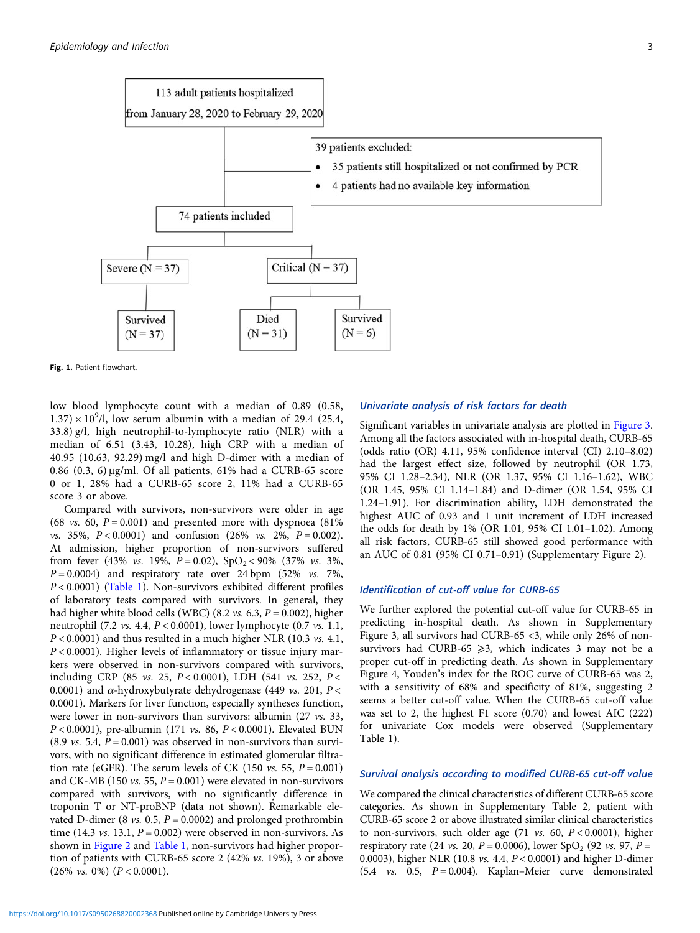<span id="page-2-0"></span>

Fig. 1. Patient flowchart.

low blood lymphocyte count with a median of 0.89 (0.58,  $1.37 \times 10^9$ /l, low serum albumin with a median of 29.4 (25.4, 33.8) g/l, high neutrophil-to-lymphocyte ratio (NLR) with a median of 6.51 (3.43, 10.28), high CRP with a median of 40.95 (10.63, 92.29) mg/l and high D-dimer with a median of 0.86 (0.3, 6) μg/ml. Of all patients, 61% had a CURB-65 score 0 or 1, 28% had a CURB-65 score 2, 11% had a CURB-65 score 3 or above.

Compared with survivors, non-survivors were older in age (68 *vs.* 60,  $P = 0.001$ ) and presented more with dyspnoea (81%) *vs.* 35%,  $P < 0.0001$ ) and confusion (26% *vs.* 2%,  $P = 0.002$ ). At admission, higher proportion of non-survivors suffered from fever (43% *vs.* 19%,  $P = 0.02$ ),  $SpO<sub>2</sub> < 90%$  (37% *vs.* 3%,  $P = 0.0004$ ) and respiratory rate over 24 bpm (52% *vs.* 7%, P < 0.0001) ([Table 1](#page-3-0)). Non-survivors exhibited different profiles of laboratory tests compared with survivors. In general, they had higher white blood cells (WBC) (8.2 *vs.* 6.3,  $P = 0.002$ ), higher neutrophil (7.2 vs. 4.4, P < 0.0001), lower lymphocyte (0.7 vs. 1.1,  $P < 0.0001$ ) and thus resulted in a much higher NLR (10.3 vs. 4.1,  $P < 0.0001$ ). Higher levels of inflammatory or tissue injury markers were observed in non-survivors compared with survivors, including CRP (85 *vs.* 25,  $P < 0.0001$ ), LDH (541 *vs.* 252,  $P <$ 0.0001) and  $\alpha$ -hydroxybutyrate dehydrogenase (449 *vs.* 201,  $P$  < 0.0001). Markers for liver function, especially syntheses function, were lower in non-survivors than survivors: albumin (27 vs. 33,  $P < 0.0001$ ), pre-albumin (171 *vs.* 86,  $P < 0.0001$ ). Elevated BUN (8.9 *vs.* 5.4,  $P = 0.001$ ) was observed in non-survivors than survivors, with no significant difference in estimated glomerular filtration rate (eGFR). The serum levels of CK (150 *vs.* 55,  $P = 0.001$ ) and CK-MB (150 *vs.* 55,  $P = 0.001$ ) were elevated in non-survivors compared with survivors, with no significantly difference in troponin T or NT-proBNP (data not shown). Remarkable elevated D-dimer (8 vs. 0.5,  $P = 0.0002$ ) and prolonged prothrombin time (14.3 *vs.* 13.1,  $P = 0.002$ ) were observed in non-survivors. As shown in [Figure 2](#page-4-0) and [Table 1,](#page-3-0) non-survivors had higher proportion of patients with CURB-65 score 2 (42% vs. 19%), 3 or above  $(26\% \text{ vs. } 0\%) (P < 0.0001).$ 

## Univariate analysis of risk factors for death

Significant variables in univariate analysis are plotted in [Figure 3](#page-4-0). Among all the factors associated with in-hospital death, CURB-65 (odds ratio (OR) 4.11, 95% confidence interval (CI) 2.10–8.02) had the largest effect size, followed by neutrophil (OR 1.73, 95% CI 1.28–2.34), NLR (OR 1.37, 95% CI 1.16–1.62), WBC (OR 1.45, 95% CI 1.14–1.84) and D-dimer (OR 1.54, 95% CI 1.24–1.91). For discrimination ability, LDH demonstrated the highest AUC of 0.93 and 1 unit increment of LDH increased the odds for death by 1% (OR 1.01, 95% CI 1.01–1.02). Among all risk factors, CURB-65 still showed good performance with an AUC of 0.81 (95% CI 0.71–0.91) (Supplementary Figure 2).

## Identification of cut-off value for CURB-65

We further explored the potential cut-off value for CURB-65 in predicting in-hospital death. As shown in Supplementary Figure 3, all survivors had CURB-65 <3, while only 26% of nonsurvivors had CURB-65  $\geq$ 3, which indicates 3 may not be a proper cut-off in predicting death. As shown in Supplementary Figure 4, Youden's index for the ROC curve of CURB-65 was 2, with a sensitivity of 68% and specificity of 81%, suggesting 2 seems a better cut-off value. When the CURB-65 cut-off value was set to 2, the highest F1 score (0.70) and lowest AIC (222) for univariate Cox models were observed (Supplementary Table 1).

# Survival analysis according to modified CURB-65 cut-off value

We compared the clinical characteristics of different CURB-65 score categories. As shown in Supplementary Table 2, patient with CURB-65 score 2 or above illustrated similar clinical characteristics to non-survivors, such older age  $(71 \text{ vs. } 60, P < 0.0001)$ , higher respiratory rate (24 *vs.* 20,  $P = 0.0006$ ), lower SpO<sub>2</sub> (92 *vs.* 97,  $P =$ 0.0003), higher NLR (10.8 vs. 4.4, P < 0.0001) and higher D-dimer (5.4  $\upsilon$ s. 0.5,  $P = 0.004$ ). Kaplan–Meier curve demonstrated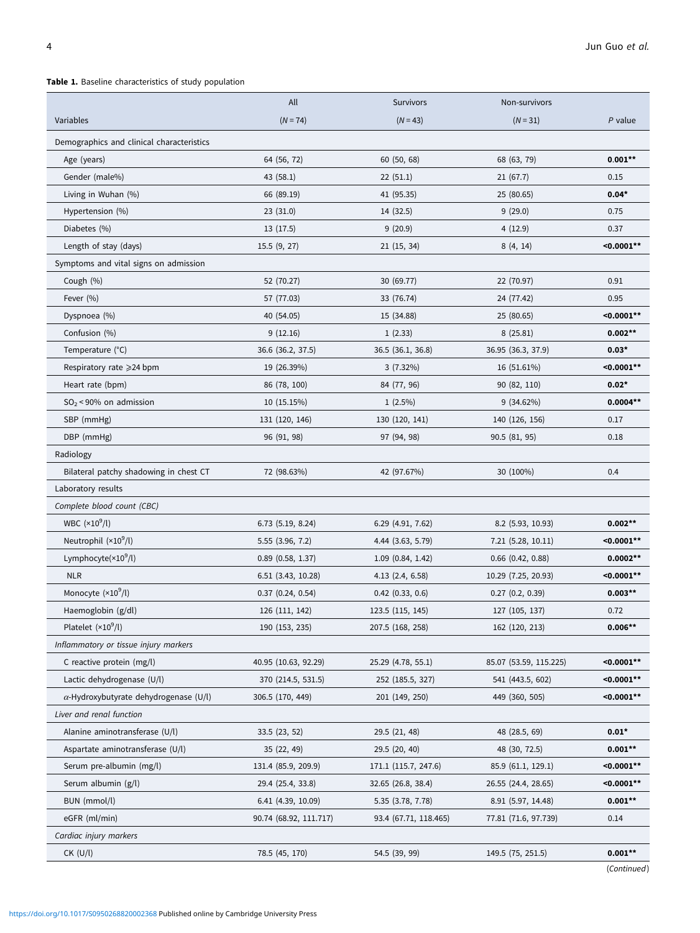# <span id="page-3-0"></span>Table 1. Baseline characteristics of study population

|                                               | All                    | Survivors             | Non-survivors          |               |
|-----------------------------------------------|------------------------|-----------------------|------------------------|---------------|
| Variables                                     | $(N = 74)$             | $(N = 43)$            | $(N = 31)$             | $P$ value     |
| Demographics and clinical characteristics     |                        |                       |                        |               |
| Age (years)                                   | 64 (56, 72)            | 60(50, 68)            | 68 (63, 79)            | $0.001**$     |
| Gender (male%)                                | 43 (58.1)              | 22(51.1)              | 21(67.7)               | 0.15          |
| Living in Wuhan (%)                           | 66 (89.19)             | 41 (95.35)            | 25 (80.65)             | $0.04*$       |
| Hypertension (%)                              | 23(31.0)               | 14 (32.5)             | 9(29.0)                | 0.75          |
| Diabetes (%)                                  | 13(17.5)               | 9(20.9)               | 4(12.9)                | 0.37          |
| Length of stay (days)                         | 15.5(9, 27)            | 21(15, 34)            | 8(4, 14)               | $< 0.0001**$  |
| Symptoms and vital signs on admission         |                        |                       |                        |               |
| Cough (%)                                     | 52 (70.27)             | 30 (69.77)            | 22 (70.97)             | 0.91          |
| Fever (%)                                     | 57 (77.03)             | 33 (76.74)            | 24 (77.42)             | 0.95          |
| Dyspnoea (%)                                  | 40 (54.05)             | 15 (34.88)            | 25 (80.65)             | $< 0.0001**$  |
| Confusion (%)                                 | 9(12.16)               | 1(2.33)               | 8(25.81)               | $0.002**$     |
| Temperature (°C)                              | 36.6 (36.2, 37.5)      | 36.5 (36.1, 36.8)     | 36.95 (36.3, 37.9)     | $0.03*$       |
| Respiratory rate ≥24 bpm                      | 19 (26.39%)            | $3(7.32\%)$           | 16 (51.61%)            | $< 0.0001$ ** |
| Heart rate (bpm)                              | 86 (78, 100)           | 84 (77, 96)           | 90 (82, 110)           | $0.02*$       |
| $SO_2$ < 90% on admission                     | 10 (15.15%)            | $1(2.5\%)$            | 9 (34.62%)             | $0.0004**$    |
| SBP (mmHg)                                    | 131 (120, 146)         | 130 (120, 141)        | 140 (126, 156)         | 0.17          |
| DBP (mmHg)                                    | 96 (91, 98)            | 97 (94, 98)           | 90.5(81, 95)           | 0.18          |
| Radiology                                     |                        |                       |                        |               |
| Bilateral patchy shadowing in chest CT        | 72 (98.63%)            | 42 (97.67%)           | 30 (100%)              | 0.4           |
| Laboratory results                            |                        |                       |                        |               |
| Complete blood count (CBC)                    |                        |                       |                        |               |
| WBC $(x10^9/l)$                               | 6.73 (5.19, 8.24)      | 6.29 (4.91, 7.62)     | 8.2 (5.93, 10.93)      | $0.002**$     |
| Neutrophil (×10 <sup>9</sup> /l)              | 5.55 (3.96, 7.2)       | 4.44 (3.63, 5.79)     | $7.21$ (5.28, 10.11)   | $< 0.0001**$  |
| Lymphocyte $(x10^9/l)$                        | $0.89$ $(0.58, 1.37)$  | 1.09(0.84, 1.42)      | $0.66$ $(0.42, 0.88)$  | $0.0002**$    |
| <b>NLR</b>                                    | 6.51 (3.43, 10.28)     | $4.13$ $(2.4, 6.58)$  | 10.29 (7.25, 20.93)    | $< 0.0001**$  |
| Monocyte $(x10^9/l)$                          | $0.37$ $(0.24, 0.54)$  | $0.42$ $(0.33, 0.6)$  | $0.27$ $(0.2, 0.39)$   | $0.003**$     |
| Haemoglobin (g/dl)                            | 126 (111, 142)         | 123.5 (115, 145)      | 127 (105, 137)         | 0.72          |
| Platelet $(x10^9/l)$                          | 190 (153, 235)         | 207.5 (168, 258)      | 162 (120, 213)         | $0.006**$     |
| Inflammatory or tissue injury markers         |                        |                       |                        |               |
| C reactive protein (mg/l)                     | 40.95 (10.63, 92.29)   | 25.29 (4.78, 55.1)    | 85.07 (53.59, 115.225) | $< 0.0001**$  |
| Lactic dehydrogenase (U/l)                    | 370 (214.5, 531.5)     | 252 (185.5, 327)      | 541 (443.5, 602)       | $< 0.0001**$  |
| $\alpha$ -Hydroxybutyrate dehydrogenase (U/l) | 306.5 (170, 449)       | 201 (149, 250)        | 449 (360, 505)         | $< 0.0001**$  |
| Liver and renal function                      |                        |                       |                        |               |
| Alanine aminotransferase (U/l)                | 33.5(23, 52)           | 29.5 (21, 48)         | 48 (28.5, 69)          | $0.01*$       |
| Aspartate aminotransferase (U/l)              | 35 (22, 49)            | 29.5 (20, 40)         | 48 (30, 72.5)          | $0.001**$     |
| Serum pre-albumin (mg/l)                      | 131.4 (85.9, 209.9)    | 171.1 (115.7, 247.6)  | 85.9 (61.1, 129.1)     | $< 0.0001**$  |
| Serum albumin (g/l)                           | 29.4 (25.4, 33.8)      | 32.65 (26.8, 38.4)    | 26.55 (24.4, 28.65)    | $< 0.0001**$  |
| BUN (mmol/l)                                  | $6.41$ (4.39, 10.09)   | 5.35 (3.78, 7.78)     | 8.91 (5.97, 14.48)     | $0.001**$     |
| eGFR (ml/min)                                 | 90.74 (68.92, 111.717) | 93.4 (67.71, 118.465) | 77.81 (71.6, 97.739)   | 0.14          |
| Cardiac injury markers                        |                        |                       |                        |               |
| $CK$ (U/l)                                    | 78.5 (45, 170)         | 54.5 (39, 99)         | 149.5 (75, 251.5)      | $0.001**$     |
|                                               |                        |                       |                        | (Continued)   |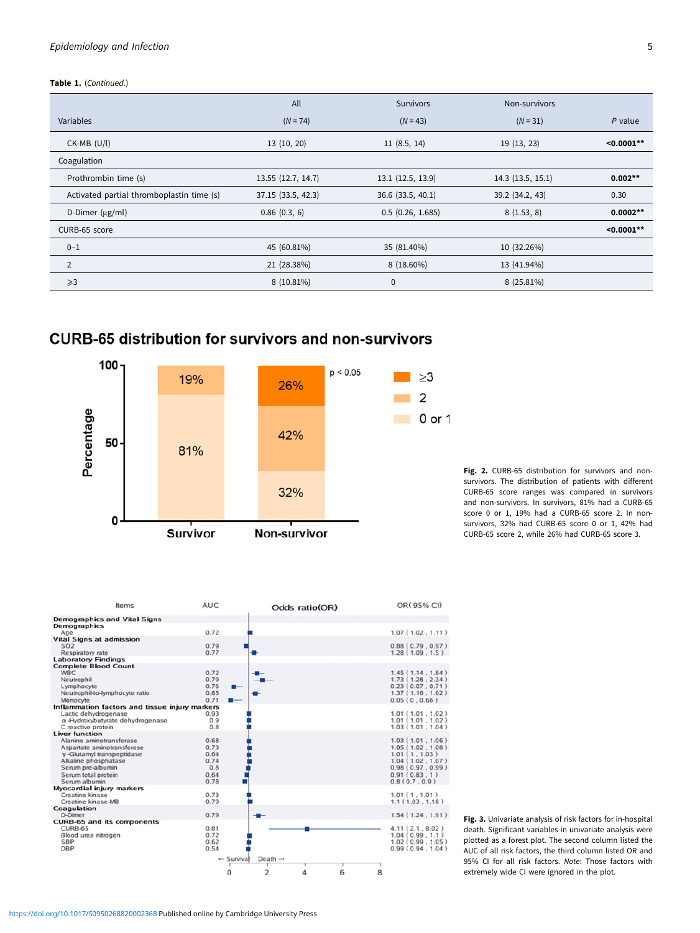# <span id="page-4-0"></span>Epidemiology and Infection 5

#### Table 1. (Continued.)

|                                           | All                | <b>Survivors</b>  | Non-survivors    |              |
|-------------------------------------------|--------------------|-------------------|------------------|--------------|
| Variables                                 | $(N = 74)$         | $(N = 43)$        | $(N = 31)$       | $P$ value    |
| $CK-MB$ (U/l)                             | 13(10, 20)         | 11(8.5, 14)       | 19 (13, 23)      | $< 0.0001**$ |
| Coagulation                               |                    |                   |                  |              |
| Prothrombin time (s)                      | 13.55 (12.7, 14.7) | 13.1 (12.5, 13.9) | 14.3(13.5, 15.1) | $0.002**$    |
| Activated partial thromboplastin time (s) | 37.15 (33.5, 42.3) | 36.6 (33.5, 40.1) | 39.2 (34.2, 43)  | 0.30         |
| D-Dimer $(\mu g/ml)$                      | 0.86(0.3, 6)       | 0.5(0.26, 1.685)  | 8(1.53, 8)       | $0.0002**$   |
| CURB-65 score                             |                    |                   |                  | $< 0.0001**$ |
| $0 - 1$                                   | 45 (60.81%)        | 35 (81.40%)       | 10 (32.26%)      |              |
| $\overline{2}$                            | 21 (28.38%)        | 8 (18.60%)        | 13 (41.94%)      |              |
| $\geqslant$ 3                             | 8 (10.81%)         | $\mathbf 0$       | $8(25.81\%)$     |              |

# **CURB-65 distribution for survivors and non-survivors**



Fig. 2. CURB-65 distribution for survivors and nonsurvivors. The distribution of patients with different CURB-65 score ranges was compared in survivors and non-survivors. In survivors, 81% had a CURB-65 score 0 or 1, 19% had a CURB-65 score 2. In nonsurvivors, 32% had CURB-65 score 0 or 1, 42% had CURB-65 score 2, while 26% had CURB-65 score 3.



Fig. 3. Univariate analysis of risk factors for in-hospital death. Significant variables in univariate analysis were plotted as a forest plot. The second column listed the AUC of all risk factors, the third column listed OR and 95% CI for all risk factors. Note: Those factors with extremely wide CI were ignored in the plot.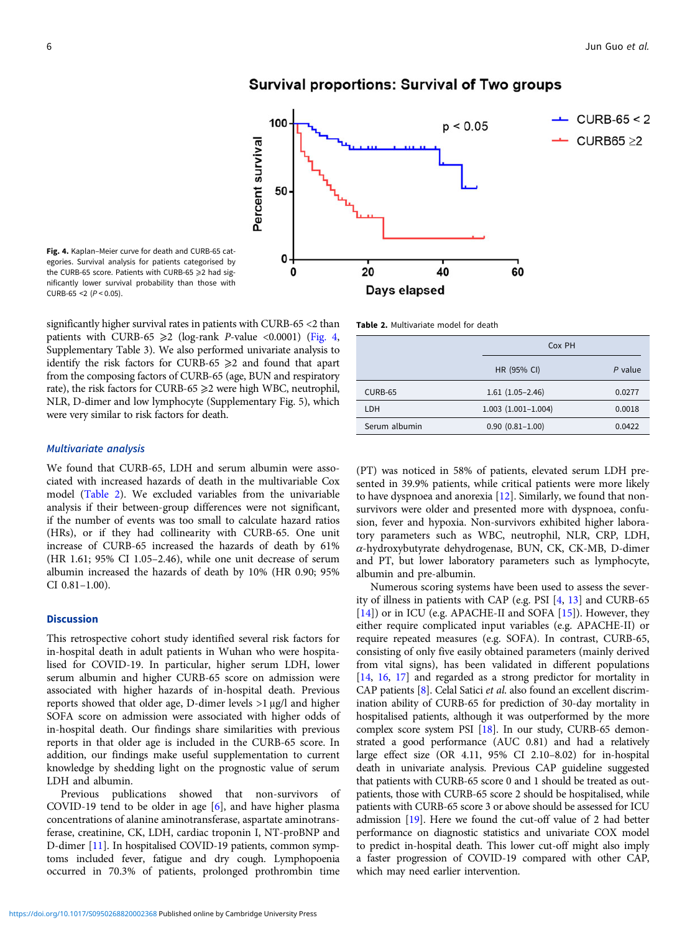



significantly higher survival rates in patients with CURB-65 <2 than patients with CURB-65  $\geq$ 2 (log-rank P-value <0.0001) (Fig. 4, Supplementary Table 3). We also performed univariate analysis to identify the risk factors for CURB-65  $\geq$ 2 and found that apart from the composing factors of CURB-65 (age, BUN and respiratory rate), the risk factors for CURB-65  $\geq$ 2 were high WBC, neutrophil, NLR, D-dimer and low lymphocyte (Supplementary Fig. 5), which were very similar to risk factors for death.

# Multivariate analysis

 $CURB-65 < 2 (P < 0.05)$ .

We found that CURB-65, LDH and serum albumin were associated with increased hazards of death in the multivariable Cox model (Table 2). We excluded variables from the univariable analysis if their between-group differences were not significant, if the number of events was too small to calculate hazard ratios (HRs), or if they had collinearity with CURB-65. One unit increase of CURB-65 increased the hazards of death by 61% (HR 1.61; 95% CI 1.05–2.46), while one unit decrease of serum albumin increased the hazards of death by 10% (HR 0.90; 95% CI 0.81–1.00).

## **Discussion**

This retrospective cohort study identified several risk factors for in-hospital death in adult patients in Wuhan who were hospitalised for COVID-19. In particular, higher serum LDH, lower serum albumin and higher CURB-65 score on admission were associated with higher hazards of in-hospital death. Previous reports showed that older age, D-dimer levels >1 μg/l and higher SOFA score on admission were associated with higher odds of in-hospital death. Our findings share similarities with previous reports in that older age is included in the CURB-65 score. In addition, our findings make useful supplementation to current knowledge by shedding light on the prognostic value of serum LDH and albumin.

Previous publications showed that non-survivors of COVID-19 tend to be older in age [[6](#page-6-0)], and have higher plasma concentrations of alanine aminotransferase, aspartate aminotransferase, creatinine, CK, LDH, cardiac troponin I, NT-proBNP and D-dimer [[11\]](#page-6-0). In hospitalised COVID-19 patients, common symptoms included fever, fatigue and dry cough. Lymphopoenia occurred in 70.3% of patients, prolonged prothrombin time



Table 2. Multivariate model for death

|               | Cox PH                    |         |
|---------------|---------------------------|---------|
|               | HR (95% CI)               | P value |
| CURB-65       | $1.61(1.05-2.46)$         | 0.0277  |
| LDH           | $1.003$ $(1.001 - 1.004)$ | 0.0018  |
| Serum albumin | $0.90(0.81 - 1.00)$       | 0.0422  |
|               |                           |         |

(PT) was noticed in 58% of patients, elevated serum LDH presented in 39.9% patients, while critical patients were more likely to have dyspnoea and anorexia [[12](#page-6-0)]. Similarly, we found that nonsurvivors were older and presented more with dyspnoea, confusion, fever and hypoxia. Non-survivors exhibited higher laboratory parameters such as WBC, neutrophil, NLR, CRP, LDH, α-hydroxybutyrate dehydrogenase, BUN, CK, CK-MB, D-dimer and PT, but lower laboratory parameters such as lymphocyte, albumin and pre-albumin.

Numerous scoring systems have been used to assess the severity of illness in patients with CAP (e.g. PSI [[4](#page-6-0), [13](#page-6-0)] and CURB-65 [[14\]](#page-6-0)) or in ICU (e.g. APACHE-II and SOFA [\[15](#page-6-0)]). However, they either require complicated input variables (e.g. APACHE-II) or require repeated measures (e.g. SOFA). In contrast, CURB-65, consisting of only five easily obtained parameters (mainly derived from vital signs), has been validated in different populations [\[14](#page-6-0), [16](#page-6-0), [17](#page-6-0)] and regarded as a strong predictor for mortality in CAP patients [\[8\]](#page-6-0). Celal Satici et al. also found an excellent discrimination ability of CURB-65 for prediction of 30-day mortality in hospitalised patients, although it was outperformed by the more complex score system PSI [\[18](#page-6-0)]. In our study, CURB-65 demonstrated a good performance (AUC 0.81) and had a relatively large effect size (OR 4.11, 95% CI 2.10–8.02) for in-hospital death in univariate analysis. Previous CAP guideline suggested that patients with CURB-65 score 0 and 1 should be treated as outpatients, those with CURB-65 score 2 should be hospitalised, while patients with CURB-65 score 3 or above should be assessed for ICU admission [\[19\]](#page-6-0). Here we found the cut-off value of 2 had better performance on diagnostic statistics and univariate COX model to predict in-hospital death. This lower cut-off might also imply a faster progression of COVID-19 compared with other CAP, which may need earlier intervention.